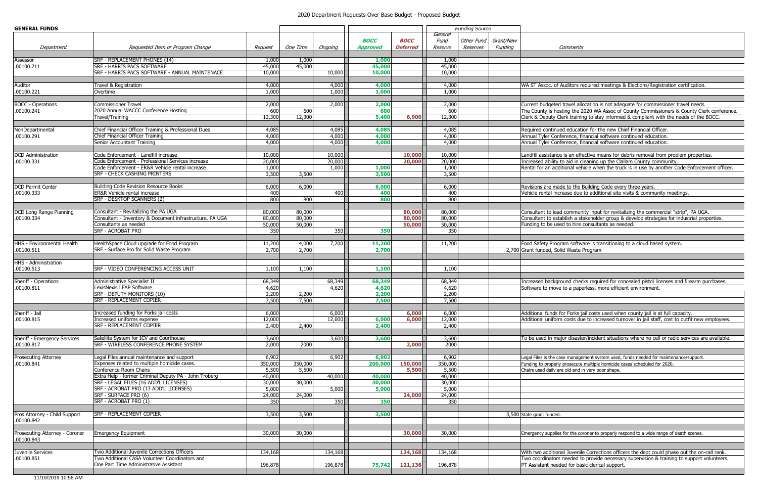| <b>GENERAL FUNDS</b>                |                                                               |                 |          |         |                 |                 | <b>Funding Source</b> |            |           |                                          |
|-------------------------------------|---------------------------------------------------------------|-----------------|----------|---------|-----------------|-----------------|-----------------------|------------|-----------|------------------------------------------|
|                                     |                                                               |                 |          |         |                 |                 | General               |            |           |                                          |
|                                     |                                                               |                 |          |         | <b>BOCC</b>     | <b>BOCC</b>     | Fund                  | Other Fund | Grant/New |                                          |
| Department                          | Requested Item or Program Change                              | Request         | One Time | Ongoing | <b>Approved</b> | <b>Deferred</b> | Reserve               | Reserves   | Funding   | Comments                                 |
| Assessor                            | SRF - REPLACEMENT PHONES (14)                                 | 1,000           | 1,000    |         | 1,000           |                 | 1,000                 |            |           |                                          |
| .00100.211                          | <b>SRF - HARRIS PACS SOFTWARE</b>                             | 45,000          | 45,000   |         | 45,000          |                 | 45,000                |            |           |                                          |
|                                     | SRF - HARRIS PACS SOFTWARE - ANNUAL MAINTENACE                | 10,000          |          | 10,000  | 10,000          |                 | 10,000                |            |           |                                          |
|                                     |                                                               |                 |          |         |                 |                 |                       |            |           |                                          |
| Auditor                             | Travel & Registration                                         | 4,000           |          | 4,000   | 4,000           |                 | 4,000                 |            |           | WA ST Assoc. of Auditors required        |
| .00100.221                          | Overtime                                                      | 1,000           |          | 1,000   | 1,000           |                 | 1,000                 |            |           |                                          |
|                                     |                                                               |                 |          |         |                 |                 |                       |            |           |                                          |
| <b>BOCC</b> - Operations            | <b>Commissioner Travel</b>                                    | 2,000           |          | 2,000   | 2,000           |                 | 2,000                 |            |           | Current budgeted travel allocation i     |
| .00100.241                          | 2020 Annual WACCC Conference Hosting                          | 600             | 600      |         | 600             |                 | 600                   |            |           | The County is hosting the 2020 WA        |
|                                     | <b>Travel/Training</b>                                        | 12,300          | 12,300   |         | 5,400           | 6,900           | 12,300                |            |           | Clerk & Deputy Clerk training to sta     |
|                                     |                                                               |                 |          |         |                 |                 |                       |            |           |                                          |
| NonDepartmental                     | Chief Financial Officer Training & Professional Dues          | 4,085           |          | 4,085   | 4,085           |                 | 4,085                 |            |           | Required continued education for th      |
| .00100.291                          | Chief Financial Officer Training                              | 4,000           |          | 4,000   | 4,000           |                 | 4,000                 |            |           | Annual Tyler Conference, financial s     |
|                                     | Senior Accountant Training                                    | 4,000           |          | 4,000   | 4,000           |                 | 4,000                 |            |           | Annual Tyler Conference, financial s     |
|                                     |                                                               |                 |          |         |                 |                 |                       |            |           |                                          |
| <b>DCD</b> Administration           | Code Enforcement - Landfill increase                          | 10,000          |          | 10,000  |                 | 10,000          | 10,000                |            |           | Landfill assistance is an effective m    |
| .00100.331                          | Code Enforcement - Professional Services increase             | 20,000          |          | 20,000  |                 | 20,000          | 20,000                |            |           | Increased ability to aid in cleaning     |
|                                     | Code Enforcement - ER&R Vehicle rental increase               | 1,000           |          | 1,000   | 1,000           |                 | 1,000                 |            |           | Rental for an additional vehicle whe     |
|                                     | <b>SRF - CHECK CASHING PRINTERS</b>                           | 3,500           | 3,500    |         | 3,500           |                 | 3,500                 |            |           |                                          |
|                                     |                                                               |                 |          |         |                 |                 |                       |            |           |                                          |
| <b>DCD Permit Center</b>            | <b>Building Code Revision Resource Books</b>                  | 6,000           | 6,000    |         | 6,000           |                 | 6,000                 |            |           | Revisions are made to the Building       |
| .00100.333                          | ER&R Vehicle rental increase                                  | 400             |          | 400     | 400             |                 | 400                   |            |           | Vehicle rental increase due to addit     |
|                                     | SRF - DESKTOP SCANNERS (2)                                    | 800             | 800      |         | 800             |                 | 800                   |            |           |                                          |
|                                     |                                                               |                 |          |         |                 |                 |                       |            |           |                                          |
| DCD Long Range Planning             | Consultant - Revitalizing the PA UGA                          | 80,000          | 80,000   |         |                 | 80,000          | 80,000                |            |           | Consultant to lead community input       |
| .00100.334                          | Consultant - Inventory & Document infrastructure, PA UGA      | 80,000          | 80,000   |         |                 | 80,000          | 80,000                |            |           | Consultant to establish a stakehold      |
|                                     | Consultants as needed                                         | 50,000          | 50,000   |         |                 | 50,000          | 50,000                |            |           | Funding to be used to hire consulta      |
|                                     | SRF - ACROBAT PRO                                             | 350             |          | 350     | 350             |                 | 350                   |            |           |                                          |
|                                     |                                                               |                 |          |         |                 |                 |                       |            |           |                                          |
| <b>HHS - Environmental Health</b>   | HealthSpace Cloud upgrade for Food Program                    | 11,200          | 4,000    | 7,200   | 11,200          |                 | 11,200                |            |           | Food Safety Program software is tra      |
| .00100.511                          | SRF - Surface Pro for Solid Waste Program                     | 2,700           | 2,700    |         | 2,700           |                 |                       |            |           | 2,700 Grant funded, Solid Waste Program  |
|                                     |                                                               |                 |          |         |                 |                 |                       |            |           |                                          |
| HHS - Administration                |                                                               |                 |          |         |                 |                 |                       |            |           |                                          |
| .00100.513                          | SRF - VIDEO CONFERENCING ACCESS UNIT                          | 1,100           | 1,100    |         | 1,100           |                 | 1,100                 |            |           |                                          |
|                                     |                                                               |                 |          |         |                 |                 |                       |            |           |                                          |
| Sheriff - Operations                | Administrative Specialist II                                  | 68,349          |          | 68,349  | 68,349          |                 | 68,349                |            |           | Increased background checks requi        |
| .00100.811                          | LexisNexis LEAP Software<br>SRF - DEPUTY MONITORS (10)        | 4,620           |          | 4,620   | 4,620           |                 | 4,620                 |            |           | Software to move to a paperless, m       |
|                                     |                                                               | 2,200           | 2,200    |         | 2,200           |                 | 2,200                 |            |           |                                          |
|                                     | SRF - REPLACEMENT COPIER                                      | 7,500           | 7,500    |         | 7,500           |                 | 7,500                 |            |           |                                          |
| Sheriff - Jail                      | Increased funding for Forks jail costs                        |                 |          |         |                 |                 |                       |            |           |                                          |
|                                     |                                                               | 6,000           |          | 6,000   |                 | 6,000           | 6,000                 |            |           | Additional funds for Forks jail costs    |
| .00100.815                          | Increased uniforms expense<br><b>SRF - REPLACEMENT COPIER</b> | 12,000<br>2,400 | 2,400    | 12,000  | 6,000<br>2,400  | 6,000           | 12,000<br>2,400       |            |           | Additional uniform costs due to incr     |
|                                     |                                                               |                 |          |         |                 |                 |                       |            |           |                                          |
| <b>Sheriff - Emergency Services</b> | Satellite System for ICV and Courthouse                       | 3,600           |          | 3,600   | 3,600           |                 | 3,600                 |            |           | To be used in major disaster/incide      |
| .00100.817                          | SRF - WIRELESS CONFERENCE PHONE SYSTEM                        | 2,000           | 2000     |         |                 | 2,000           | 2000                  |            |           |                                          |
|                                     |                                                               |                 |          |         |                 |                 |                       |            |           |                                          |
| Prosecuting Attorney                | Legal Files annual maintenance and support                    | 6,902           |          | 6,902   | 6,902           |                 | 6,902                 |            |           | Legal Files is the case management sys   |
| .00100.841                          | Expenses related to multiple homicide cases.                  | 350,000         | 350,000  |         | 200,000         | 150,000         | 350,000               |            |           | Funding to properly prosecute multiple   |
|                                     | Conference Room Chairs                                        | 5,500           | 5,500    |         |                 | 5,500           | 5,500                 |            |           | Chairs used daily are old and in very po |
|                                     | Extra Help - former Criminal Deputy PA - John Troberg         | 40,000          |          | 40,000  | 40,000          |                 | 40,000                |            |           |                                          |
|                                     | SRF - LEGAL FILES (16 ADD'L LICENSES)                         | 30,000          | 30,000   |         | 30,000          |                 | 30,000                |            |           |                                          |
|                                     | SRF - ACROBAT PRO (13 ADD'L LICENSES)                         | 5,000           |          | 5,000   | 5,000           |                 | 5,000                 |            |           |                                          |
|                                     | SRF - SURFACE PRO (6)                                         | 24,000          | 24,000   |         |                 | 24,000          | 24,000                |            |           |                                          |
|                                     | SRF - ACROBAT PRO (1)                                         | 350             |          | 350     | 350             |                 | 350                   |            |           |                                          |
|                                     |                                                               |                 |          |         |                 |                 |                       |            |           |                                          |
| Pros Attorney - Child Support       | <b>SRF - REPLACEMENT COPIER</b>                               | 3,500           | 3,500    |         | 3,500           |                 |                       |            |           | 3,500 State grant funded.                |
| .00100.842                          |                                                               |                 |          |         |                 |                 |                       |            |           |                                          |
|                                     |                                                               |                 |          |         |                 |                 |                       |            |           |                                          |
| Prosecuting Attorney - Coroner      | <b>Emergency Equipment</b>                                    | 30,000          | 30,000   |         |                 | 30,000          | 30,000                |            |           | Emergency supplies for the coroner to    |
| .00100.843                          |                                                               |                 |          |         |                 |                 |                       |            |           |                                          |
|                                     |                                                               |                 |          |         |                 |                 |                       |            |           |                                          |
| Juvenile Services                   | Two Additional Juvenile Corrections Officers                  | 134,168         |          | 134,168 |                 | 134,168         | 134,168               |            |           | With two additional Juvenile Correc      |
| .00100.851                          | Two Additional CASA Volunteer Coordinators and                |                 |          |         |                 |                 |                       |            |           | Two coordinators needed to provide       |
|                                     | One Part Time Administrative Assistant                        | 196,878         |          | 196,878 | 75,742          | 121,136         | 196,878               |            |           | PT Assistant needed for basic cleric     |
|                                     |                                                               |                 |          |         |                 |                 |                       |            |           |                                          |

## 2020 Department Requests Over Base Budget - Proposed Budget

f Auditors required meetings & Elections/Registration certification.

d travel allocation is not adequate for commissioner travel needs. osting the 2020 WA Assoc of County Commissioners & County Clerk conference. Clerk training to stay informed & compliant with the needs of the BOCC.

ued education for the new Chief Financial Officer. .00100.291 Chief Financial Officer Training 4,000 4,000 **4,000** 4,000 Annual Tyler Conference, financial software continued education. nference, financial software continued education.

ce is an effective means for debris removal from problem properties. to aid in cleaning up the Clallam County community. ditional vehicle when the truck is in use by another Code Enforcement officer.

ade to the Building Code every three years. crease due to additional site visits & community meetings.

ad community input for revitalizing the commercial "strip", PA UGA. stablish a stakeholder group & develop strategies for industrial properties. sed to hire consultants as needed.

gram software is transitioning to a cloud based system.

ground checks required for concealed pistol licenses and firearm purchases. e to a paperless, more efficient environment.

for Forks jail costs used when county jail is at full capacity.  $km$  costs due to increased turnover in jail staff, cost to outfit new employees.

ajor disaster/incident situations where no cell or radio services are available.

Prose management system used, funds needed for maintenance/support. ly prosecute multiple homicide cases scheduled for 2020. are old and in very poor shape.

es for the coroner to properly respond to a wide range of death scenes.

onal Juvenile Corrections officers the dept could phase out the on-call rank. rs needed to provide necessary supervision & training to support volunteers. **Part Administrative Administrative Administrative Administrative Administrative Assistant 196,878 196**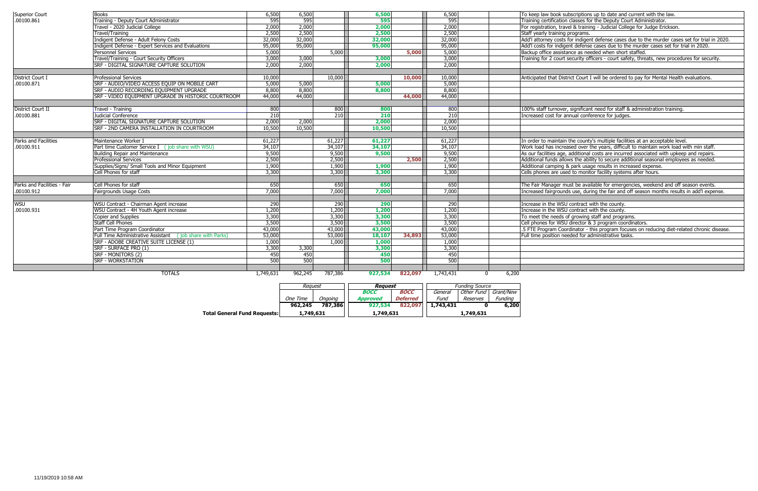| <b>Superior Court</b>       | Books                                                     | 6,500     | 6,500   |         | 6,500   |         | 6,500     | To keep law book subscriptions up to date and current with the law.                            |
|-----------------------------|-----------------------------------------------------------|-----------|---------|---------|---------|---------|-----------|------------------------------------------------------------------------------------------------|
| .00100.861                  | Training - Deputy Court Administrator                     | 595       | 595     |         | 595     |         | 595       | Training certification classes for the Deputy Court Administrator.                             |
|                             | Travel - 2020 Judicial College                            | 2,000     | 2,000   |         | 2,000   |         | 2,000     | For registration, travel & training - Judicial College for Judge Erickson.                     |
|                             | Travel/Training                                           | 2,500     | 2,500   |         | 2,500   |         | 2,500     | Staff yearly training programs.                                                                |
|                             | Indigent Defense - Adult Felony Costs                     | 32,000    | 32,000  |         | 32,000  |         | 32,000    | Add'I attorney costs for indigent defense cases due to the murder cases set for trial in 2020. |
|                             | Indigent Defense - Expert Services and Evaluations        | 95,000    | 95,000  |         | 95,000  |         | 95,000    | Add'I costs for indigent defense cases due to the murder cases set for trial in 2020.          |
|                             | <b>Personnel Services</b>                                 | 5,000     |         | 5,000   |         | 5,000   | 5,000     | Backup office assistance as needed when short staffed.                                         |
|                             | Travel/Training - Court Security Officers                 | 3,000     | 3,000   |         | 3,000   |         | 3,000     | Training for 2 court security officers - court safety, threats, new procedures for security.   |
|                             | SRF - DIGITAL SIGNATURE CAPTURE SOLUTION                  | 2,000     | 2,000   |         | 2,000   |         | 2,000     |                                                                                                |
|                             |                                                           |           |         |         |         |         |           |                                                                                                |
| District Court I            | <b>Professional Services</b>                              | 10,000    |         | 10,000  |         | 10,000  | 10,000    | Anticipated that District Court I will be ordered to pay for Mental Health evaluations.        |
| .00100.871                  | SRF - AUDIO/VIDEO ACCESS EQUIP ON MOBILE CART             | 5,000     | 5,000   |         | 5,000   |         | 5,000     |                                                                                                |
|                             | SRF - AUDIO RECORDING EQUIPMENT UPGRADE                   | 8,800     | 8,800   |         | 8,800   |         | 8,800     |                                                                                                |
|                             | SRF - VIDEO EQUIPMENT UPGRADE IN HISTORIC COURTROOM       | 44,000    | 44,000  |         |         | 44,000  | 44,000    |                                                                                                |
|                             |                                                           |           |         |         |         |         |           |                                                                                                |
| District Court II           | Travel - Training                                         | 800       |         | 800     | 800     |         | 800       | 100% staff turnover, significant need for staff & administration training.                     |
| .00100.881                  | Judicial Conference                                       | 210       |         | 210     | 210     |         | 210       | Increased cost for annual conference for judges.                                               |
|                             | SRF - DIGITAL SIGNATURE CAPTURE SOLUTION                  | 2,000     | 2,000   |         | 2,000   |         | 2,000     |                                                                                                |
|                             | SRF - 2ND CAMERA INSTALLATION IN COURTROOM                | 10,500    | 10,500  |         | 10,500  |         | 10,500    |                                                                                                |
|                             |                                                           |           |         |         |         |         |           |                                                                                                |
| Parks and Facilities        | Maintenance Worker I                                      | 61,227    |         | 61,227  | 61,227  |         | 61,227    | In order to maintain the county's multiple facilities at an acceptable level.                  |
| .00100.911                  | Part time Customer Service I (job share with WSU)         | 34,107    |         | 34,107  | 34,107  |         | 34,107    | Work load has increased over the years, difficult to maintain work load with min staff.        |
|                             | <b>Building Repair and Maintenance</b>                    | 9,500     |         | 9,500   | 9,500   |         | 9,500     | As our facilities age, additional costs are incurred associated with upkeep and repairs.       |
|                             | <b>Professional Services</b>                              | 2,500     |         | 2,500   |         | 2,500   | 2,500     | Additional funds allows the ability to secure additional seasonal employees as needed          |
|                             | Supplies/Signs/ Small Tools and Minor Equipment           | 1,900     |         | 1,900   | 1,900   |         | 1,900     | Additional camping & park usage results in increased expense.                                  |
|                             | Cell Phones for staff                                     | 3,300     |         | 3,300   | 3,300   |         | 3,300     | Cells phones are used to monitor facility systems after hours.                                 |
|                             |                                                           |           |         |         |         |         |           |                                                                                                |
| Parks and Facilities - Fair | Cell Phones for staff                                     | 650       |         | 650     | 650     |         | 650       | The Fair Manager must be available for emergencies, weekend and off season events.             |
| .00100.912                  | Fairgrounds Usage Costs                                   | 7,000     |         | 7,000   | 7,000   |         | 7,000     | Increased fairgrounds use, during the fair and off season months results in add'l expense.     |
|                             |                                                           |           |         |         |         |         |           |                                                                                                |
| <b>WSU</b>                  | WSU Contract - Chairman Agent increase                    | 290       |         | 290     | 290     |         | 290       | Increase in the WSU contract with the county.                                                  |
| .00100.931                  | WSU Contract - 4H Youth Agent increase                    | 1,200     |         | 1,200   | 1,200   |         | 1,200     | Increase in the WSU contract with the county.                                                  |
|                             | Copier and Supplies                                       | 3,300     |         | 3,300   | 3,300   |         | 3,300     | To meet the needs of growing staff and programs.                                               |
|                             | <b>Staff Cell Phones</b>                                  | 3,500     |         | 3,500   | 3,500   |         | 3,500     | Cell phones for WSU director & 3 program coordinators.                                         |
|                             | Part Time Program Coordinator                             | 43,000    |         | 43,000  | 43,000  |         | 43,000    | 1.5 FTE Program Coordinator - this program focuses on reducing diet-related chronic disease.   |
|                             | Full Time Administrative Assistant (job share with Parks) | 53,000    |         | 53,000  | 18,107  | 34,893  | 53,000    | Full time position needed for administrative tasks.                                            |
|                             | SRF - ADOBE CREATIVE SUITE LICENSE (1)                    | 1,000     |         | 1,000   | 1,000   |         | 1,000     |                                                                                                |
|                             | SRF - SURFACE PRO (1)                                     | 3,300     | 3,300   |         | 3,300   |         | 3,300     |                                                                                                |
|                             | SRF - MONITORS (2)                                        | 450       | 450     |         | 450     |         | 450       |                                                                                                |
|                             | <b>SRF - WORKSTATION</b>                                  | 500       | 500     |         | 500     |         | 500       |                                                                                                |
|                             |                                                           |           |         |         |         |         |           |                                                                                                |
|                             | <b>TOTALS</b>                                             | 1,749,631 | 962,245 | 787,386 | 927,534 | 822,097 | 1,743,431 | 6,200<br><sup>0</sup>                                                                          |

|                                     | Reauest             |  | Reauest     |                 | <b>Fundina Source</b> |            |           |  |
|-------------------------------------|---------------------|--|-------------|-----------------|-----------------------|------------|-----------|--|
|                                     |                     |  | <b>BOCC</b> | <b>BOCC</b>     | General               | Other Fund | Grant/New |  |
|                                     | One Time<br>Onaoina |  | Approved    | <b>Deferred</b> | Fund                  | Reserves   | Fundina   |  |
|                                     | 787,386<br>962,245  |  | 927,534     | 822,097         | 1,743,431             |            | 6,200     |  |
| <b>Total General Fund Requests:</b> | 1,749,631           |  | 1,749,631   |                 | 1,749,631             |            |           |  |